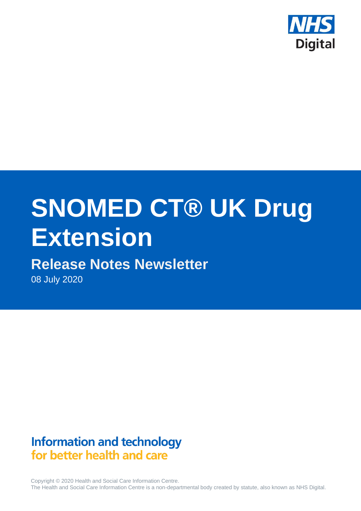

# **SNOMED CT® UK Drug Extension**

# **Release Notes Newsletter**

08 July 2020

## **Information and technology** for better health and care

Copyright © 2020 Health and Social Care Information Centre. The Health and Social Care Information Centre is a non-departmental body created by statute, also known as NHS Digital.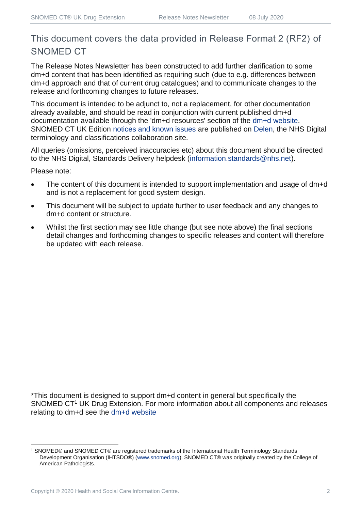## This document covers the data provided in Release Format 2 (RF2) of SNOMED CT

The Release Notes Newsletter has been constructed to add further clarification to some dm+d content that has been identified as requiring such (due to e.g. differences between dm+d approach and that of current drug catalogues) and to communicate changes to the release and forthcoming changes to future releases.

This document is intended to be adjunct to, not a replacement, for other documentation already available, and should be read in conjunction with current published dm+d documentation available through the 'dm+d resources' section of the [dm+d website.](https://www.nhsbsa.nhs.uk/pharmacies-gp-practices-and-appliance-contractors/dictionary-medicines-and-devices-dmd) SNOMED CT UK Edition [notices and known issues](https://hscic.kahootz.com/connect.ti/t_c_home/view?objectId=14224752) are published on [Delen,](https://hscic.kahootz.com/connect.ti/t_c_home) the NHS Digital terminology and classifications collaboration site.

All queries (omissions, perceived inaccuracies etc) about this document should be directed to the NHS Digital, Standards Delivery helpdesk [\(information.standards@nhs.net\)](mailto:information.standards@nhs.net).

Please note:

- The content of this document is intended to support implementation and usage of dm+d and is not a replacement for good system design.
- This document will be subject to update further to user feedback and any changes to dm+d content or structure.
- Whilst the first section may see little change (but see note above) the final sections detail changes and forthcoming changes to specific releases and content will therefore be updated with each release.

\*This document is designed to support dm+d content in general but specifically the SNOMED CT<sup>1</sup> UK Drug Extension. For more information about all components and releases relating to dm+d see the [dm+d website](https://www.nhsbsa.nhs.uk/pharmacies-gp-practices-and-appliance-contractors/dictionary-medicines-and-devices-dmd)

<sup>1</sup> SNOMED® and SNOMED CT® are registered trademarks of the International Health Terminology Standards Development Organisation (IHTSDO®) [\(www.snomed.org\)](http://www.snomed.org/). SNOMED CT® was originally created by the College of American Pathologists.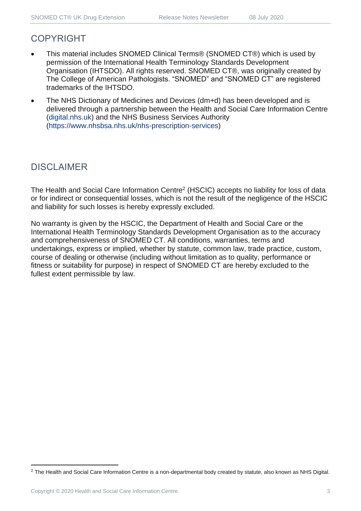## COPYRIGHT

- This material includes SNOMED Clinical Terms® (SNOMED CT®) which is used by permission of the International Health Terminology Standards Development Organisation (IHTSDO). All rights reserved. SNOMED CT®, was originally created by The College of American Pathologists. "SNOMED" and "SNOMED CT" are registered trademarks of the IHTSDO.
- The NHS Dictionary of Medicines and Devices (dm+d) has been developed and is delivered through a partnership between the Health and Social Care Information Centre [\(digital.nhs.uk\)](https://digital.nhs.uk/) and the NHS Business Services Authority [\(https://www.nhsbsa.nhs.uk/nhs-prescription-services\)](https://www.nhsbsa.nhs.uk/nhs-prescription-services)

## DISCLAIMER

The Health and Social Care Information Centre<sup>2</sup> (HSCIC) accepts no liability for loss of data or for indirect or consequential losses, which is not the result of the negligence of the HSCIC and liability for such losses is hereby expressly excluded.

No warranty is given by the HSCIC, the Department of Health and Social Care or the International Health Terminology Standards Development Organisation as to the accuracy and comprehensiveness of SNOMED CT. All conditions, warranties, terms and undertakings, express or implied, whether by statute, common law, trade practice, custom, course of dealing or otherwise (including without limitation as to quality, performance or fitness or suitability for purpose) in respect of SNOMED CT are hereby excluded to the fullest extent permissible by law.

<sup>&</sup>lt;sup>2</sup> The Health and Social Care Information Centre is a non-departmental body created by statute, also known as NHS Digital.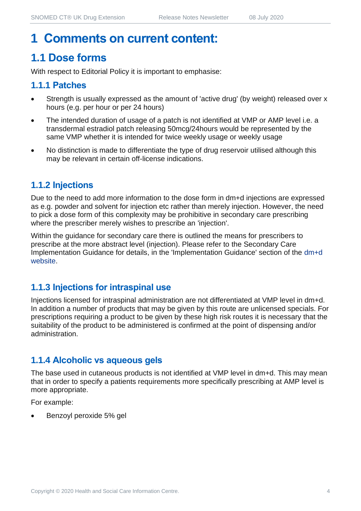## **1 Comments on current content:**

## **1.1 Dose forms**

With respect to Editorial Policy it is important to emphasise:

#### **1.1.1 Patches**

- Strength is usually expressed as the amount of 'active drug' (by weight) released over x hours (e.g. per hour or per 24 hours)
- The intended duration of usage of a patch is not identified at VMP or AMP level i.e. a transdermal estradiol patch releasing 50mcg/24hours would be represented by the same VMP whether it is intended for twice weekly usage or weekly usage
- No distinction is made to differentiate the type of drug reservoir utilised although this may be relevant in certain off-license indications.

#### **1.1.2 Injections**

Due to the need to add more information to the dose form in dm+d injections are expressed as e.g. powder and solvent for injection etc rather than merely injection. However, the need to pick a dose form of this complexity may be prohibitive in secondary care prescribing where the prescriber merely wishes to prescribe an 'injection'.

Within the guidance for secondary care there is outlined the means for prescribers to prescribe at the more abstract level (injection). Please refer to the Secondary Care Implementation Guidance for details, in the 'Implementation Guidance' section of the [dm+d](https://www.nhsbsa.nhs.uk/pharmacies-gp-practices-and-appliance-contractors/dictionary-medicines-and-devices-dmd)  [website.](https://www.nhsbsa.nhs.uk/pharmacies-gp-practices-and-appliance-contractors/dictionary-medicines-and-devices-dmd)

#### **1.1.3 Injections for intraspinal use**

Injections licensed for intraspinal administration are not differentiated at VMP level in dm+d. In addition a number of products that may be given by this route are unlicensed specials. For prescriptions requiring a product to be given by these high risk routes it is necessary that the suitability of the product to be administered is confirmed at the point of dispensing and/or administration.

#### **1.1.4 Alcoholic vs aqueous gels**

The base used in cutaneous products is not identified at VMP level in dm+d. This may mean that in order to specify a patients requirements more specifically prescribing at AMP level is more appropriate.

For example:

• Benzoyl peroxide 5% gel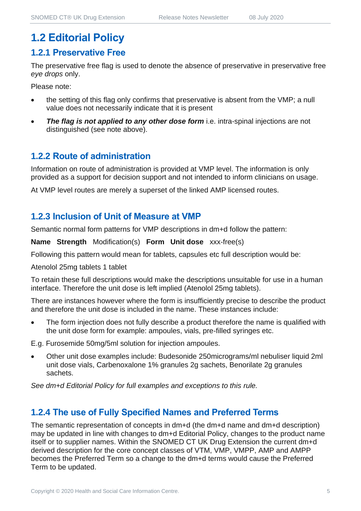## **1.2 Editorial Policy**

#### **1.2.1 Preservative Free**

The preservative free flag is used to denote the absence of preservative in preservative free *eye drops* only.

Please note:

- the setting of this flag only confirms that preservative is absent from the VMP; a null value does not necessarily indicate that it is present
- **The flag is not applied to any other dose form** i.e. intra-spinal injections are not distinguished (see note above).

#### **1.2.2 Route of administration**

Information on route of administration is provided at VMP level. The information is only provided as a support for decision support and not intended to inform clinicians on usage.

At VMP level routes are merely a superset of the linked AMP licensed routes.

#### **1.2.3 Inclusion of Unit of Measure at VMP**

Semantic normal form patterns for VMP descriptions in dm+d follow the pattern:

**Name Strength** Modification(s) **Form Unit dose** xxx-free(s)

Following this pattern would mean for tablets, capsules etc full description would be:

Atenolol 25mg tablets 1 tablet

To retain these full descriptions would make the descriptions unsuitable for use in a human interface. Therefore the unit dose is left implied (Atenolol 25mg tablets).

There are instances however where the form is insufficiently precise to describe the product and therefore the unit dose is included in the name. These instances include:

The form injection does not fully describe a product therefore the name is qualified with the unit dose form for example: ampoules, vials, pre-filled syringes etc.

E.g. Furosemide 50mg/5ml solution for injection ampoules.

• Other unit dose examples include: Budesonide 250micrograms/ml nebuliser liquid 2ml unit dose vials, Carbenoxalone 1% granules 2g sachets, Benorilate 2g granules sachets.

*See dm+d Editorial Policy for full examples and exceptions to this rule.*

#### **1.2.4 The use of Fully Specified Names and Preferred Terms**

The semantic representation of concepts in dm+d (the dm+d name and dm+d description) may be updated in line with changes to dm+d Editorial Policy, changes to the product name itself or to supplier names. Within the SNOMED CT UK Drug Extension the current dm+d derived description for the core concept classes of VTM, VMP, VMPP, AMP and AMPP becomes the Preferred Term so a change to the dm+d terms would cause the Preferred Term to be updated.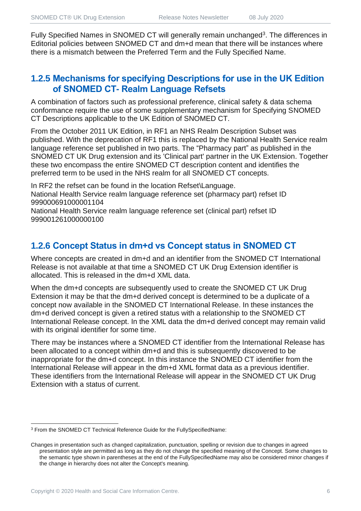Fully Specified Names in SNOMED CT will generally remain unchanged<sup>3</sup>. The differences in Editorial policies between SNOMED CT and dm+d mean that there will be instances where there is a mismatch between the Preferred Term and the Fully Specified Name.

#### **1.2.5 Mechanisms for specifying Descriptions for use in the UK Edition of SNOMED CT- Realm Language Refsets**

A combination of factors such as professional preference, clinical safety & data schema conformance require the use of some supplementary mechanism for Specifying SNOMED CT Descriptions applicable to the UK Edition of SNOMED CT.

From the October 2011 UK Edition, in RF1 an NHS Realm Description Subset was published. With the deprecation of RF1 this is replaced by the National Health Service realm language reference set published in two parts. The "Pharmacy part" as published in the SNOMED CT UK Drug extension and its 'Clinical part' partner in the UK Extension. Together these two encompass the entire SNOMED CT description content and identifies the preferred term to be used in the NHS realm for all SNOMED CT concepts.

In RF2 the refset can be found in the location Refset\Language. National Health Service realm language reference set (pharmacy part) refset ID 999000691000001104

National Health Service realm language reference set (clinical part) refset ID 999001261000000100

#### **1.2.6 Concept Status in dm+d vs Concept status in SNOMED CT**

Where concepts are created in dm+d and an identifier from the SNOMED CT International Release is not available at that time a SNOMED CT UK Drug Extension identifier is allocated. This is released in the dm+d XML data.

When the dm+d concepts are subsequently used to create the SNOMED CT UK Drug Extension it may be that the dm+d derived concept is determined to be a duplicate of a concept now available in the SNOMED CT International Release. In these instances the dm+d derived concept is given a retired status with a relationship to the SNOMED CT International Release concept. In the XML data the dm+d derived concept may remain valid with its original identifier for some time.

There may be instances where a SNOMED CT identifier from the International Release has been allocated to a concept within dm+d and this is subsequently discovered to be inappropriate for the dm+d concept. In this instance the SNOMED CT identifier from the International Release will appear in the dm+d XML format data as a previous identifier. These identifiers from the International Release will appear in the SNOMED CT UK Drug Extension with a status of current.

<sup>3</sup> From the SNOMED CT Technical Reference Guide for the FullySpecifiedName:

Changes in presentation such as changed capitalization, punctuation, spelling or revision due to changes in agreed presentation style are permitted as long as they do not change the specified meaning of the Concept. Some changes to the semantic type shown in parentheses at the end of the FullySpecifiedName may also be considered minor changes if the change in hierarchy does not alter the Concept's meaning.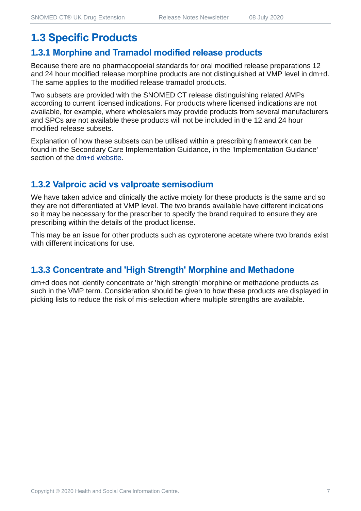## **1.3 Specific Products**

#### **1.3.1 Morphine and Tramadol modified release products**

Because there are no pharmacopoeial standards for oral modified release preparations 12 and 24 hour modified release morphine products are not distinguished at VMP level in dm+d. The same applies to the modified release tramadol products.

Two subsets are provided with the SNOMED CT release distinguishing related AMPs according to current licensed indications. For products where licensed indications are not available, for example, where wholesalers may provide products from several manufacturers and SPCs are not available these products will not be included in the 12 and 24 hour modified release subsets.

Explanation of how these subsets can be utilised within a prescribing framework can be found in the Secondary Care Implementation Guidance, in the 'Implementation Guidance' section of the [dm+d website.](https://www.nhsbsa.nhs.uk/pharmacies-gp-practices-and-appliance-contractors/dictionary-medicines-and-devices-dmd)

#### **1.3.2 Valproic acid vs valproate semisodium**

We have taken advice and clinically the active moiety for these products is the same and so they are not differentiated at VMP level. The two brands available have different indications so it may be necessary for the prescriber to specify the brand required to ensure they are prescribing within the details of the product license.

This may be an issue for other products such as cyproterone acetate where two brands exist with different indications for use.

#### **1.3.3 Concentrate and 'High Strength' Morphine and Methadone**

dm+d does not identify concentrate or 'high strength' morphine or methadone products as such in the VMP term. Consideration should be given to how these products are displayed in picking lists to reduce the risk of mis-selection where multiple strengths are available.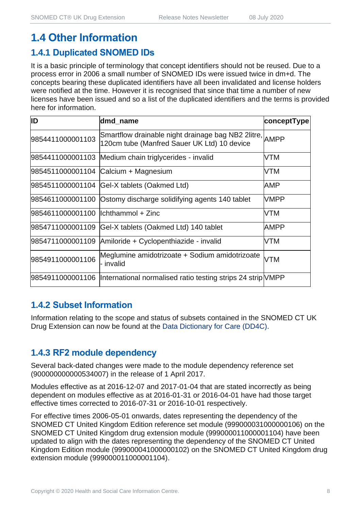## **1.4 Other Information**

## **1.4.1 Duplicated SNOMED IDs**

It is a basic principle of terminology that concept identifiers should not be reused. Due to a process error in 2006 a small number of SNOMED IDs were issued twice in dm+d. The concepts bearing these duplicated identifiers have all been invalidated and license holders were notified at the time. However it is recognised that since that time a number of new licenses have been issued and so a list of the duplicated identifiers and the terms is provided here for information.

| ID                                   | dmd_name                                                                                               | conceptType |
|--------------------------------------|--------------------------------------------------------------------------------------------------------|-------------|
| 9854411000001103                     | Smartflow drainable night drainage bag NB2 2litre, AMPP<br>120cm tube (Manfred Sauer UK Ltd) 10 device |             |
|                                      | 9854411000001103 Medium chain triglycerides - invalid                                                  | VTM         |
|                                      | 9854511000001104 Calcium + Magnesium                                                                   | VTM         |
|                                      | 9854511000001104 Gel-X tablets (Oakmed Ltd)                                                            | AMP         |
|                                      | 9854611000001100 Ostomy discharge solidifying agents 140 tablet                                        | <b>VMPP</b> |
| 9854611000001100   Ichthammol + Zinc |                                                                                                        | VTM         |
|                                      | 9854711000001109 Gel-X tablets (Oakmed Ltd) 140 tablet                                                 | <b>AMPP</b> |
|                                      | 9854711000001109 Amiloride + Cyclopenthiazide - invalid                                                | VTM         |
| 9854911000001106                     | Meglumine amidotrizoate + Sodium amidotrizoate<br>- invalid                                            | <b>VTM</b>  |
|                                      | 9854911000001106  International normalised ratio testing strips 24 strip VMPP                          |             |

#### **1.4.2 Subset Information**

Information relating to the scope and status of subsets contained in the SNOMED CT UK Drug Extension can now be found at the [Data Dictionary for Care \(DD4C\).](https://dd4c.digital.nhs.uk/dd4c/)

### **1.4.3 RF2 module dependency**

Several back-dated changes were made to the module dependency reference set (900000000000534007) in the release of 1 April 2017.

Modules effective as at 2016-12-07 and 2017-01-04 that are stated incorrectly as being dependent on modules effective as at 2016-01-31 or 2016-04-01 have had those target effective times corrected to 2016-07-31 or 2016-10-01 respectively.

For effective times 2006-05-01 onwards, dates representing the dependency of the SNOMED CT United Kingdom Edition reference set module (999000031000000106) on the SNOMED CT United Kingdom drug extension module (999000011000001104) have been updated to align with the dates representing the dependency of the SNOMED CT United Kingdom Edition module (999000041000000102) on the SNOMED CT United Kingdom drug extension module (999000011000001104).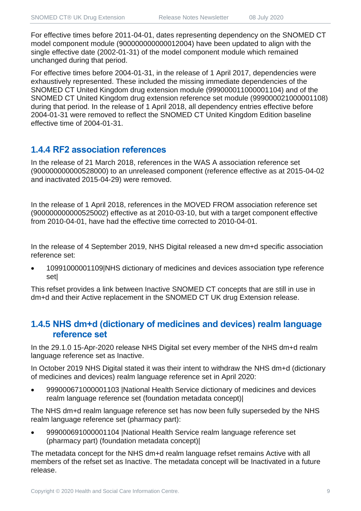For effective times before 2011-04-01, dates representing dependency on the SNOMED CT model component module (900000000000012004) have been updated to align with the single effective date (2002-01-31) of the model component module which remained unchanged during that period.

For effective times before 2004-01-31, in the release of 1 April 2017, dependencies were exhaustively represented. These included the missing immediate dependencies of the SNOMED CT United Kingdom drug extension module (999000011000001104) and of the SNOMED CT United Kingdom drug extension reference set module (999000021000001108) during that period. In the release of 1 April 2018, all dependency entries effective before 2004-01-31 were removed to reflect the SNOMED CT United Kingdom Edition baseline effective time of 2004-01-31.

#### **1.4.4 RF2 association references**

In the release of 21 March 2018, references in the WAS A association reference set (900000000000528000) to an unreleased component (reference effective as at 2015-04-02 and inactivated 2015-04-29) were removed.

In the release of 1 April 2018, references in the MOVED FROM association reference set (900000000000525002) effective as at 2010-03-10, but with a target component effective from 2010-04-01, have had the effective time corrected to 2010-04-01.

In the release of 4 September 2019, NHS Digital released a new dm+d specific association reference set:

• 10991000001109|NHS dictionary of medicines and devices association type reference set|

This refset provides a link between Inactive SNOMED CT concepts that are still in use in dm+d and their Active replacement in the SNOMED CT UK drug Extension release.

#### **1.4.5 NHS dm+d (dictionary of medicines and devices) realm language reference set**

In the 29.1.0 15-Apr-2020 release NHS Digital set every member of the NHS dm+d realm language reference set as Inactive.

In October 2019 NHS Digital stated it was their intent to withdraw the NHS dm+d (dictionary of medicines and devices) realm language reference set in April 2020:

• 999000671000001103 |National Health Service dictionary of medicines and devices realm language reference set (foundation metadata concept)|

The NHS dm+d realm language reference set has now been fully superseded by the NHS realm language reference set (pharmacy part):

• 999000691000001104 |National Health Service realm language reference set (pharmacy part) (foundation metadata concept)|

The metadata concept for the NHS dm+d realm language refset remains Active with all members of the refset set as Inactive. The metadata concept will be Inactivated in a future release.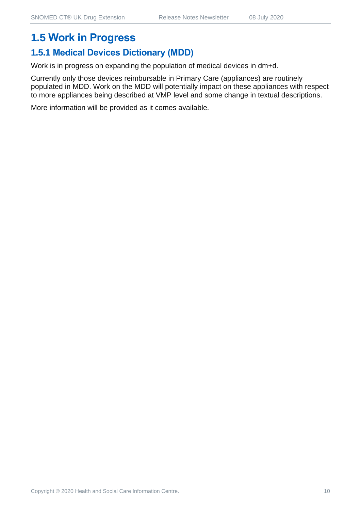## **1.5 Work in Progress**

## **1.5.1 Medical Devices Dictionary (MDD)**

Work is in progress on expanding the population of medical devices in dm+d.

Currently only those devices reimbursable in Primary Care (appliances) are routinely populated in MDD. Work on the MDD will potentially impact on these appliances with respect to more appliances being described at VMP level and some change in textual descriptions.

More information will be provided as it comes available.